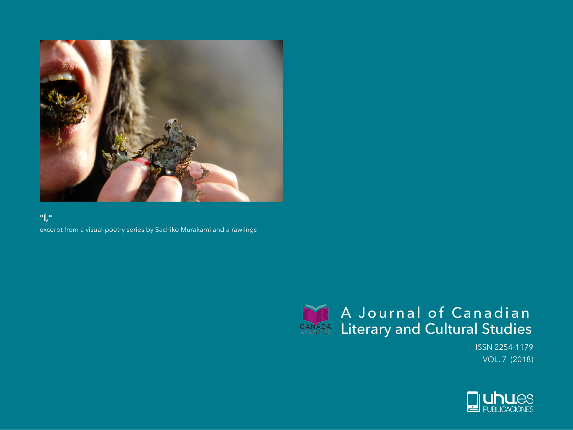

## **"Í,"**

excerpt from a visual-poetry series by Sachiko Murakami and a rawlings



ISSN 2254-1179 VOL. 7 (2018)